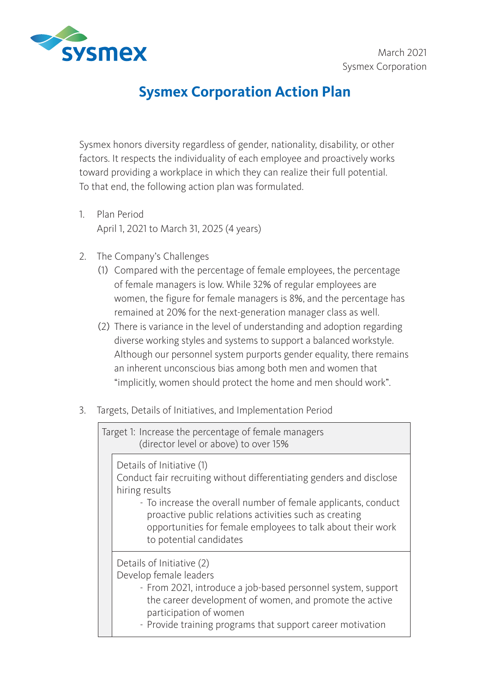

## **Sysmex Corporation Action Plan**

Sysmex honors diversity regardless of gender, nationality, disability, or other factors. It respects the individuality of each employee and proactively works toward providing a workplace in which they can realize their full potential. To that end, the following action plan was formulated.

- 1. Plan Period April 1, 2021 to March 31, 2025 (4 years)
- 2. The Company's Challenges
	- (1) Compared with the percentage of female employees, the percentage of female managers is low. While 32% of regular employees are women, the figure for female managers is 8%, and the percentage has remained at 20% for the next-generation manager class as well.
	- (2) There is variance in the level of understanding and adoption regarding diverse working styles and systems to support a balanced workstyle. Although our personnel system purports gender equality, there remains an inherent unconscious bias among both men and women that "implicitly, women should protect the home and men should work".
- 3. Targets, Details of Initiatives, and Implementation Period

| Target 1: Increase the percentage of female managers<br>(director level or above) to over 15% |                                                                                                                                                                                                                                                                                                                                           |
|-----------------------------------------------------------------------------------------------|-------------------------------------------------------------------------------------------------------------------------------------------------------------------------------------------------------------------------------------------------------------------------------------------------------------------------------------------|
|                                                                                               | Details of Initiative (1)<br>Conduct fair recruiting without differentiating genders and disclose<br>hiring results<br>- To increase the overall number of female applicants, conduct<br>proactive public relations activities such as creating<br>opportunities for female employees to talk about their work<br>to potential candidates |
|                                                                                               | Details of Initiative (2)<br>Develop female leaders<br>- From 2021, introduce a job-based personnel system, support<br>the career development of women, and promote the active<br>participation of women<br>- Provide training programs that support career motivation                                                                    |